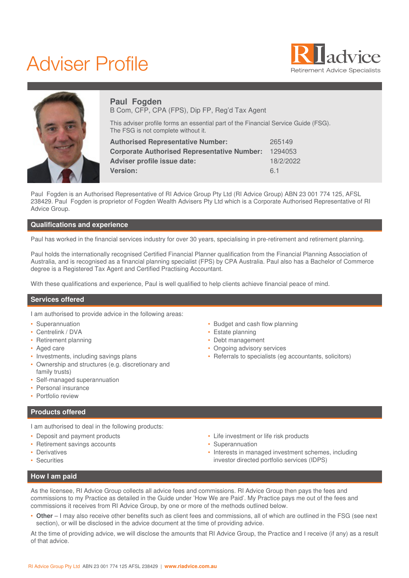# Adviser Profile





# **Paul Fogden** B Com, CFP, CPA (FPS), Dip FP, Reg'd Tax Agent

This adviser profile forms an essential part of the Financial Service Guide (FSG). The FSG is not complete without it.

| 265149    |
|-----------|
| 1294053   |
| 18/2/2022 |
| 61        |
|           |

Paul Fogden is an Authorised Representative of RI Advice Group Pty Ltd (RI Advice Group) ABN 23 001 774 125, AFSL 238429. Paul Fogden is proprietor of Fogden Wealth Advisers Pty Ltd which is a Corporate Authorised Representative of RI Advice Group.

# **Qualifications and experience**

Paul has worked in the financial services industry for over 30 years, specialising in pre-retirement and retirement planning.

Paul holds the internationally recognised Certified Financial Planner qualification from the Financial Planning Association of Australia, and is recognised as a financial planning specialist (FPS) by CPA Australia. Paul also has a Bachelor of Commerce degree is a Registered Tax Agent and Certified Practising Accountant.

With these qualifications and experience, Paul is well qualified to help clients achieve financial peace of mind.

#### **Services offered**

I am authorised to provide advice in the following areas:

- Superannuation
- Centrelink / DVA
- Retirement planning
- Aged care
- Investments, including savings plans
- Ownership and structures (e.g. discretionary and family trusts)
- Self-managed superannuation
- Personal insurance
- Portfolio review

# **Products offered**

I am authorised to deal in the following products:

- Deposit and payment products
- Retirement savings accounts
- Derivatives
- Securities
- Budget and cash flow planning
- Estate planning
- Debt management
- Ongoing advisory services
- Referrals to specialists (eg accountants, solicitors)

- Life investment or life risk products
- Superannuation
- Interests in managed investment schemes, including investor directed portfolio services (IDPS)

# **How I am paid**

As the licensee, RI Advice Group collects all advice fees and commissions. RI Advice Group then pays the fees and commissions to my Practice as detailed in the Guide under 'How We are Paid'. My Practice pays me out of the fees and commissions it receives from RI Advice Group, by one or more of the methods outlined below.

• **Other** – I may also receive other benefits such as client fees and commissions, all of which are outlined in the FSG (see next section), or will be disclosed in the advice document at the time of providing advice.

At the time of providing advice, we will disclose the amounts that RI Advice Group, the Practice and I receive (if any) as a result of that advice.